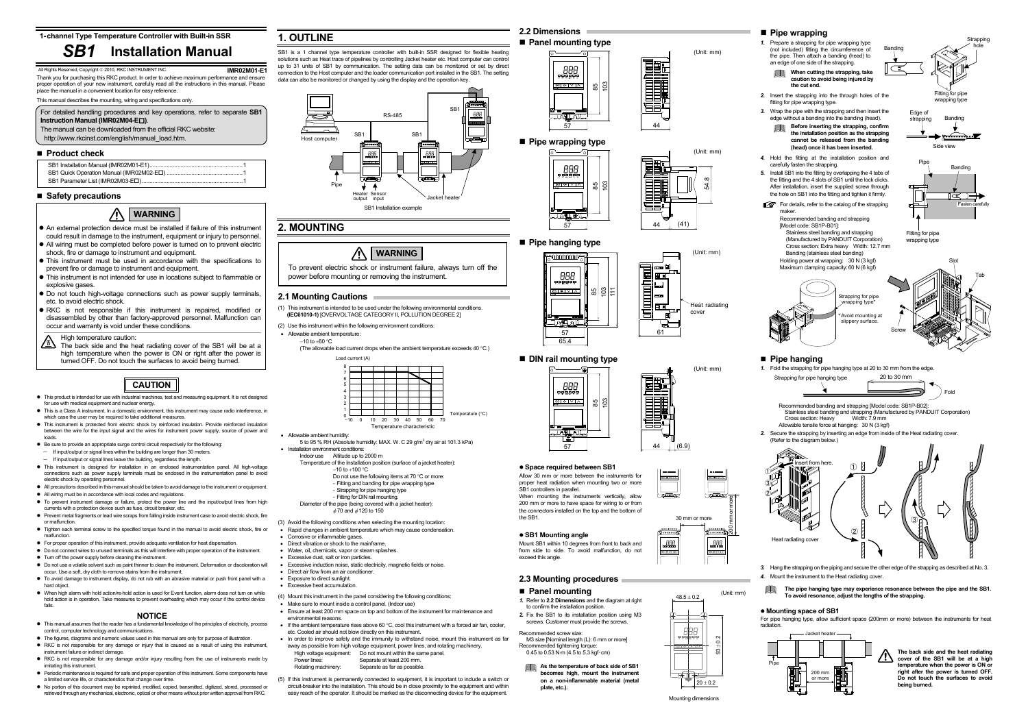For detailed handling procedures and key operations, refer to separate **SB1 Instruction Manual (IMR02M04-E )**.

The manual can be downloaded from the official RKC website: http://www.rkcinst.com/english/manual\_load.htm.

### **Product check**

**1-channel Type Temperature Controller with Built-in SSR**

**IMR02M01-E1** Thank you for purchasing this RKC product. In order to achieve maximum performance and ensure proper operation of your new instrument, carefully read all the instructions in this manual. Please place the manual in a convenient location for easy reference.

This manual describes the mounting, wiring and specifications only.

### **Safety precautions**

- This product is intended for use with industrial machines, test and measuring equipment. It is not designed for use with medical equipment and nuclear energy.
- This is a Class A instrument. In a domestic environment, this instrument may cause radio interference, in which case the user may be required to take additional measures.
- This instrument is protected from electric shock by reinforced insulation. Provide reinforced insulation between the wire for the input signal and the wires for instrument power supply, source of power and loads.
- Be sure to provide an appropriate surge control circuit respectively for the following:
- If input/output or signal lines within the building are longer than 30 meters.
- <sup>−</sup>If input/output or signal lines leave the building, regardless the length.
- $\bullet$  This instrument is designed for installation in an enclosed instrumentation panel. All high-voltage connections such as power supply terminals must be enclosed in the instrumentation panel to avoid electric shock by operating personnel.
- All precautions described in this manual should be taken to avoid damage to the instrument or equipment.
- All wiring must be in accordance with local codes and regulations.  $\bullet$  To prevent instrument damage or failure, protect the power line and the input/output lines from high
- currents with a protection device such as fuse, circuit breaker, etc. • Prevent metal fragments or lead wire scraps from falling inside instrument case to avoid electric shock, fire
- or malfunction.  $\bullet$  Tighten each terminal screw to the specified torque found in the manual to avoid electric shock, fire or
- malfunction. • For proper operation of this instrument, provide adequate ventilation for heat dispensation.
- Do not connect wires to unused terminals as this will interfere with proper operation of the instrument.
- Turn off the power supply before cleaning the instrument.
- $\bullet$  Do not use a volatile solvent such as paint thinner to clean the instrument. Deformation or discoloration will occur. Use a soft, dry cloth to remove stains from the instrument.
- $\bullet$  To avoid damage to instrument display, do not rub with an abrasive material or push front panel with a hard object.
- When high alarm with hold action/re-hold action is used for Event function, alarm does not turn on while hold action is in operation. Take measures to prevent overheating which may occur if the control device fails.

- $\bullet$  This manual assumes that the reader has a fundamental knowledge of the principles of electricity, process control, computer technology and communications.
- The figures, diagrams and numeric values used in this manual are only for purpose of illustration. • RKC is not responsible for any damage or injury that is caused as a result of using this instrument,
- instrument failure or indirect damage. • RKC is not responsible for any damage and/or injury resulting from the use of instruments made by
- imitating this instrument. • Periodic maintenance is required for safe and proper operation of this instrument. Some components have
- a limited service life, or characteristics that change over time. z No portion of this document may be reprinted, modified, copied, transmitted, digitized, stored, processed or retrieved through any mechanical, electronic, optical or other means without prior written approval from RKC.

SB1 is a 1 channel type temperature controller with built-in SSR designed for flexible heating solutions such as Heat trace of pipelines by controlling Jacket heater etc. Host computer can control up to 31 units of SB1 by communication. The setting data can be monitored or set by direct connection to the Host computer and the loader communication port installed in the SB1. The setting data can also be monitored or changed by using the display and the operation key.

(The allowable load current drops when the ambient temperature exceeds 40  $^{\circ}$ C.) Load current (A)

### **NOTICE**

**• Space required between SB1** Allow 30 mm or more between the instruments for proper heat radiation when mounting two or more

When mounting the instruments vertically, allow 200 mm or more to have space for wiring to or from the connectors installed on the top and the bottom of

Mount SB1 within 10 degrees from front to back and from side to side. To avoid malfunction, do not

# **1. OUTLINE**

Recommended tightening torque:  $0.45$  to  $0.53$  N⋅m  $(4.5$  to  $5.3$  kgf⋅cm)



## **2. MOUNTING**

### **2.1 Mounting Cautions**

- (1) This instrument is intended to be used under the following environmental conditions. **(IEC61010-1)** [OVERVOLTAGE CATEGORY II, POLLUTION DEGREE 2]
- (2) Use this instrument within the following environment conditions:
- Allowable ambient temperature:
	- −10 to +60 °C

- Stainless steel banding and strapping (Manufactured by PANDUIT Corporation)<br>Cross section: Heavy Width: 7.9 mm Cross section: Heavy
- Allowable tensile force at hanging: 30 N (3 kgf)



- An external protection device must be installed if failure of this instrument could result in damage to the instrument, equipment or injury to personnel.
- All wiring must be completed before power is turned on to prevent electric shock, fire or damage to instrument and equipment.
- This instrument must be used in accordance with the specifications to prevent fire or damage to instrument and equipment.
- $\bullet$  This instrument is not intended for use in locations subject to flammable or explosive gases.
- $\bullet$  Do not touch high-voltage connections such as power supply terminals, etc. to avoid electric shock.
- $\bullet$  RKC is not responsible if this instrument is repaired, modified or disassembled by other than factory-approved personnel. Malfunction can occur and warranty is void under these conditions.

 $\sqrt{\mathbb{N}}$  The back side and the heat radiating cover of the SB1 will be at a high temperature when the power is ON or right after the power is turned OFF. Do not touch the surfaces to avoid being burned.

> **As the temperature of back side of SB1 becomes high, mount the instrument** on a non-inflammable material (meta

SB1 controllers in parallel

**• SB1 Mounting angle** 

- Allowable ambient humidity:
- 5 to 95 % RH (Absolute humidity: MAX. W. C 29 g/m3 dry air at 101.3 kPa) • Installation environment conditions:
- Indoor use Altitude up to 2000 m
- Temperature of the Installation position (surface of a jacket heater): −10 to +100 °C
	- Do not use the following items at 70 °C or more:
	- Fitting and banding for pipe wrapping type
	- Strapping for pipe hanging type
- Fitting for DIN rail mounting. Diameter of the pipe (being covered with a jacket heater):
- $\phi$  70 and  $\phi$  120 to 150
- (3) Avoid the following conditions when selecting the mounting location: • Rapid changes in ambient temperature which may cause condensation.
- Corrosive or inflammable gases.
- 
- Direct vibration or shock to the mainframe • Water, oil, chemicals, vapor or steam splashes.
- Excessive dust, salt or iron particles.
- Excessive induction noise, static electricity, magnetic fields or noise.
- Direct air flow from an air conditioner.
- Exposure to direct sunlight.
- Excessive heat accumulation.
- (4) Mount this instrument in the panel considering the following conditions:
- Make sure to mount inside a control panel. (Indoor use)
- Ensure at least 200 mm space on top and bottom of the instrument for maintenance and environmental reasons.
- $\bullet$  If the ambient temperature rises above 60 °C, cool this instrument with a forced air fan, cooler, etc. Cooled air should not blow directly on this instrument.
- In order to improve safety and the immunity to withstand noise, mount this instrument as far away as possible from high voltage equipment, power lines, and rotating machinery.
	- High voltage equipment: Do not mount within the same panel. Power lines: Separate at least 200 mm.
	- Rotating machinery: Separate as far as possible.
- (5) If this instrument is permanently connected to equipment, it is important to include a switch or circuit-breaker into the installation. This should be in close proximity to the equipment and within easy reach of the operator. It should be marked as the disconnecting device for the equipment.
- For details, refer to the catalog of the strapping maker.
	- Recommended banding and strapping [Model code: SB1P-B01]:
	- Stainless steel banding and strapping
	- (Manufactured by PANDUIT Corporation) Cross section: Extra heavy Width: 12.7 mm Banding (stainless steel banding)
	- Holding power at wrapping: 30 N (3 kgf)

Fitting for pipe wrapping type

#### 八 **WARNING**



### **Panel mounting type**



44

(Unit: mm)

## **Pipe wrapping type**



95 103 11<br>11

 $\frac{85}{25}$ 



**Pipe hanging type** 

**ANNOUUL** 

888.

 $\frac{1}{\frac{1}{2}}$ 

cover





5765.4

JATAL

■ **DIN rail mounting type** 

888<br>Preses <u>ভাৰতাত -</u><br>\*\* 61

(Unit: mm)

57

ig.

44





the SB1.

exceed this angle.

**2.3 Mounting procedures** 

**Panel mounting** 

*1.* Refer to **2.2 Dimensions** and the diagram at right to confirm the installation position.

*2.* Fix the SB1 to its installation position using M3 screws. Customer must provide the screws.

Recommended screw size:

M3 size [Nominal length (L): 6 mm or more]

### **Pipe wrapping**

*1.* Prepare a strapping for pipe wrapping type (not included) fitting the circumference of the pipe. Then attach a banding (head) to an edge of one side of the strapping.



*2.* Insert the strapping into the through holes of the fitting for pipe wrapping type.

*3.* Wrap the pipe with the strapping and then insert the edge without a banding into the banding (head).



*4.* Hold the fitting at the installation position and carefully fasten the strapping.

*5.* Install SB1 into the fitting by overlapping the 4 tabs of the fitting and the 4 slots of SB1 until the lock clicks. After installation, insert the supplied screw through the hole on SB1 into the fitting and tighten it firmly.



### **Pipe hanging**

*1.* Fold the strapping for pipe hanging type at 20 to 30 mm from the edge.

Recommended banding and strapping [Model code: SB1P-B02]:

*2.* Secure the strapping by inserting an edge from inside of the Heat radiating cover. (Refer to the diagram below.)

*3.* Hang the strapping on the piping and secure the other edge of the strapping as described at No. 3. *4.* Mount the instrument to the Heat radiating cover.

**The pipe hanging type may experience resonance between the pipe and the SB1. To avoid resonance, adjust the lengths of the strapping.** 

#### z **Mounting space of SB1**

For pipe hanging type, allow sufficient space (200mm or more) between the instruments for heat radiation.





# **CAUTION**

# *SB1* **Installation Manual**

All Rights Reserved, Copyright © 2010, RKC INSTRUMENT INC.

**The back side and the heat radiating cover of the SB1 will be at a high temperature when the power is ON or right after the power is turned OFF. Do not touch the surfaces to avoid being burned.**

To prevent electric shock or instrument failure, always turn off the

power before mounting or removing the instrument.

High temperature caution:

30 mm or more

200 mm or more





**plate, etc.).** 

Mounting dimensions

 $20 \pm 0.2$ 

(Unit: mm) 48.5 ± 0.2

 $\tilde{g}$ 















Fitting for pipe wrapping type





### **WARNING**

①

②③